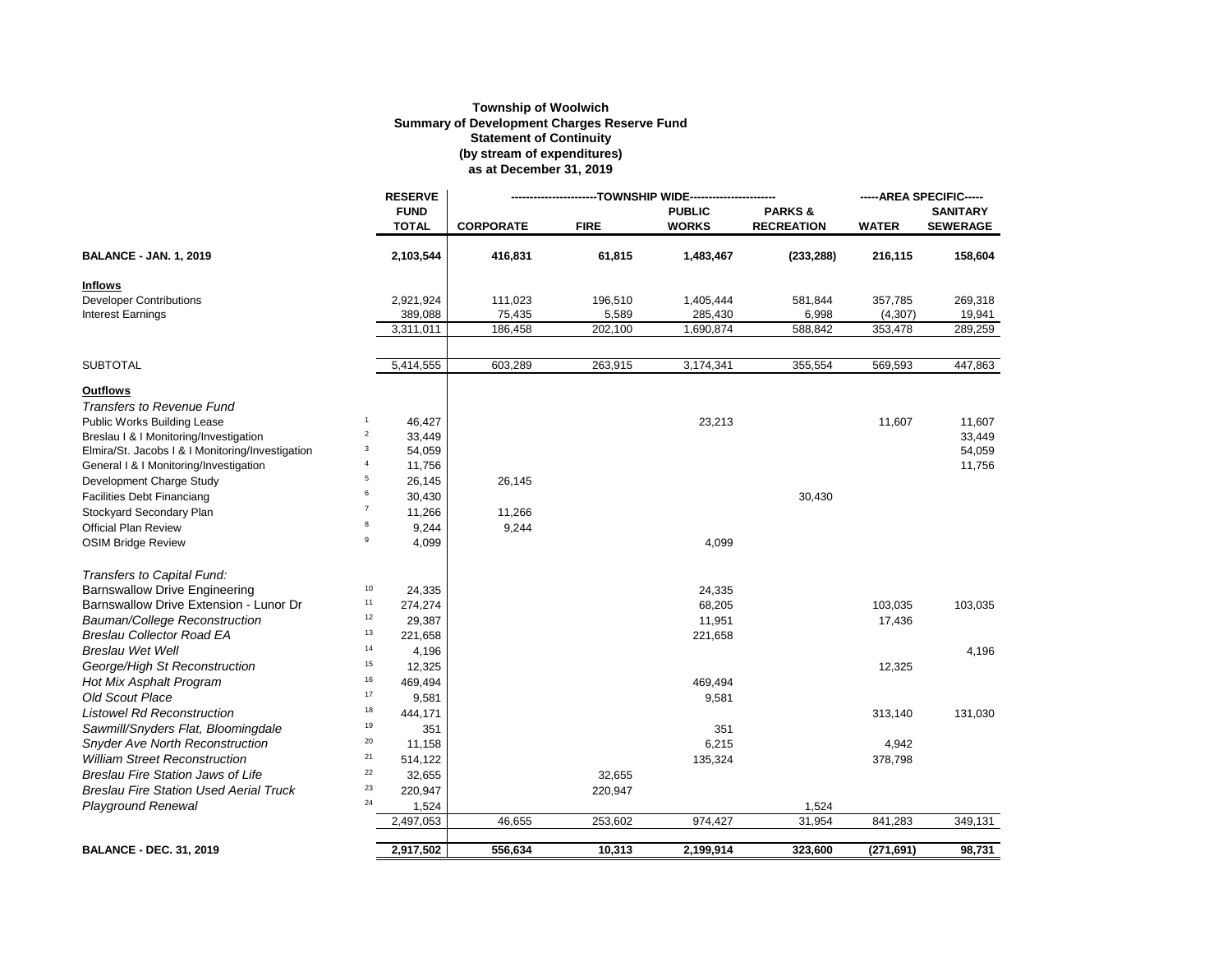## **Township of Woolwich Summary of Development Charges Reserve Fund Statement of Continuity (by stream of expenditures) as at December 31, 2019**

|                                                  |                | <b>RESERVE</b>              |                  |             |                               |                                        | -----AREA SPECIFIC----- |                                    |
|--------------------------------------------------|----------------|-----------------------------|------------------|-------------|-------------------------------|----------------------------------------|-------------------------|------------------------------------|
|                                                  |                | <b>FUND</b><br><b>TOTAL</b> | <b>CORPORATE</b> | <b>FIRE</b> | <b>PUBLIC</b><br><b>WORKS</b> | <b>PARKS&amp;</b><br><b>RECREATION</b> | <b>WATER</b>            | <b>SANITARY</b><br><b>SEWERAGE</b> |
| <b>BALANCE - JAN. 1, 2019</b>                    |                | 2,103,544                   | 416,831          | 61,815      | 1,483,467                     | (233, 288)                             | 216,115                 | 158,604                            |
| Inflows                                          |                |                             |                  |             |                               |                                        |                         |                                    |
| <b>Developer Contributions</b>                   |                | 2,921,924                   | 111,023          | 196,510     | 1,405,444                     | 581,844                                | 357,785                 | 269,318                            |
| <b>Interest Earnings</b>                         |                | 389,088                     | 75,435           | 5,589       | 285,430                       | 6,998                                  | (4, 307)                | 19,941                             |
|                                                  |                | 3.311.011                   | 186.458          | 202,100     | 1.690.874                     | 588,842                                | 353,478                 | 289,259                            |
| <b>SUBTOTAL</b>                                  |                | 5,414,555                   | 603,289          | 263,915     | 3,174,341                     | 355,554                                | 569,593                 | 447,863                            |
| <b>Outflows</b>                                  |                |                             |                  |             |                               |                                        |                         |                                    |
| <b>Transfers to Revenue Fund</b>                 |                |                             |                  |             |                               |                                        |                         |                                    |
| <b>Public Works Building Lease</b>               | $\mathbf{1}$   | 46,427                      |                  |             | 23,213                        |                                        | 11,607                  | 11,607                             |
| Breslau   &   Monitoring/Investigation           | $\overline{a}$ | 33,449                      |                  |             |                               |                                        |                         | 33,449                             |
| Elmira/St. Jacobs   &   Monitoring/Investigation | 3              | 54,059                      |                  |             |                               |                                        |                         | 54,059                             |
| General I & I Monitoring/Investigation           | $\overline{4}$ | 11,756                      |                  |             |                               |                                        |                         | 11,756                             |
| Development Charge Study                         | 5              | 26,145                      | 26,145           |             |                               |                                        |                         |                                    |
| <b>Facilities Debt Financiang</b>                | 6              | 30,430                      |                  |             |                               | 30,430                                 |                         |                                    |
| Stockyard Secondary Plan                         | $\overline{7}$ | 11,266                      | 11,266           |             |                               |                                        |                         |                                    |
| <b>Official Plan Review</b>                      | 8              | 9,244                       | 9,244            |             |                               |                                        |                         |                                    |
| <b>OSIM Bridge Review</b>                        | 9              | 4,099                       |                  |             | 4,099                         |                                        |                         |                                    |
| Transfers to Capital Fund:                       |                |                             |                  |             |                               |                                        |                         |                                    |
| <b>Barnswallow Drive Engineering</b>             | $10$           | 24,335                      |                  |             | 24,335                        |                                        |                         |                                    |
| Barnswallow Drive Extension - Lunor Dr           | 11             | 274,274                     |                  |             | 68,205                        |                                        | 103,035                 | 103,035                            |
| Bauman/College Reconstruction                    | $12\,$         | 29,387                      |                  |             | 11,951                        |                                        | 17,436                  |                                    |
| <b>Breslau Collector Road EA</b>                 | 13             | 221,658                     |                  |             | 221,658                       |                                        |                         |                                    |
| <b>Breslau Wet Well</b>                          | 14             | 4,196                       |                  |             |                               |                                        |                         | 4,196                              |
| George/High St Reconstruction                    | 15             | 12,325                      |                  |             |                               |                                        | 12,325                  |                                    |
| Hot Mix Asphalt Program                          | $16\,$         | 469,494                     |                  |             | 469,494                       |                                        |                         |                                    |
| <b>Old Scout Place</b>                           | $17\,$         | 9,581                       |                  |             | 9,581                         |                                        |                         |                                    |
| <b>Listowel Rd Reconstruction</b>                | $18\,$         | 444,171                     |                  |             |                               |                                        | 313,140                 | 131,030                            |
| Sawmill/Snyders Flat, Bloomingdale               | 19             | 351                         |                  |             | 351                           |                                        |                         |                                    |
| <b>Snyder Ave North Reconstruction</b>           | $20\,$         | 11,158                      |                  |             | 6,215                         |                                        | 4,942                   |                                    |
| <b>William Street Reconstruction</b>             | 21             | 514,122                     |                  |             | 135,324                       |                                        | 378,798                 |                                    |
| <b>Breslau Fire Station Jaws of Life</b>         | $22\,$         | 32,655                      |                  | 32,655      |                               |                                        |                         |                                    |
| <b>Breslau Fire Station Used Aerial Truck</b>    | 23             | 220,947                     |                  | 220,947     |                               |                                        |                         |                                    |
| <b>Playground Renewal</b>                        | 24             | 1,524                       |                  |             |                               | 1,524                                  |                         |                                    |
|                                                  |                | 2,497,053                   | 46,655           | 253,602     | 974,427                       | 31,954                                 | 841,283                 | 349,131                            |
| <b>BALANCE - DEC. 31, 2019</b>                   |                | 2,917,502                   | 556,634          | 10,313      | 2,199,914                     | 323,600                                | (271, 691)              | 98,731                             |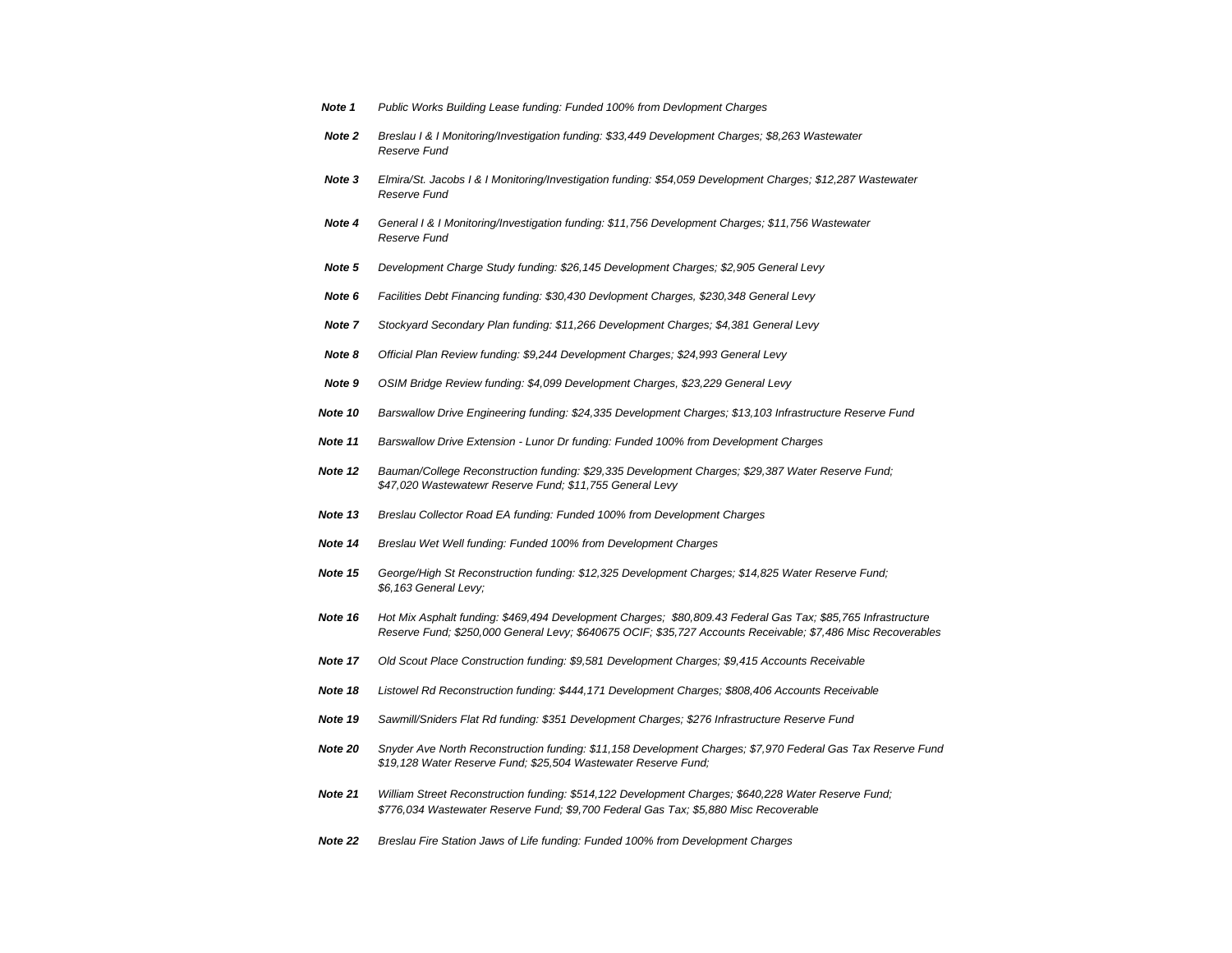| Note 1 | Public Works Building Lease funding: Funded 100% from Devlopment Charges |  |  |
|--------|--------------------------------------------------------------------------|--|--|
|        |                                                                          |  |  |

- *Note 2 Breslau I & I Monitoring/Investigation funding: \$33,449 Development Charges; \$8,263 Wastewater Reserve Fund*
- *Note 3 Elmira/St. Jacobs I & I Monitoring/Investigation funding: \$54,059 Development Charges; \$12,287 Wastewater Reserve Fund*
- *Note 4 General I & I Monitoring/Investigation funding: \$11,756 Development Charges; \$11,756 Wastewater Reserve Fund*
- *Note 5 Development Charge Study funding: \$26,145 Development Charges; \$2,905 General Levy*
- *Note 6 Facilities Debt Financing funding: \$30,430 Devlopment Charges, \$230,348 General Levy*
- *Note 7 Stockyard Secondary Plan funding: \$11,266 Development Charges; \$4,381 General Levy*
- *Note 8 Official Plan Review funding: \$9,244 Development Charges; \$24,993 General Levy*
- *Note 9 OSIM Bridge Review funding: \$4,099 Development Charges, \$23,229 General Levy*
- *Note 10 Barswallow Drive Engineering funding: \$24,335 Development Charges; \$13,103 Infrastructure Reserve Fund*
- *Note 11 Barswallow Drive Extension Lunor Dr funding: Funded 100% from Development Charges*
- *Note 12 Bauman/College Reconstruction funding: \$29,335 Development Charges; \$29,387 Water Reserve Fund; \$47,020 Wastewatewr Reserve Fund; \$11,755 General Levy*
- *Note 13 Breslau Collector Road EA funding: Funded 100% from Development Charges*
- *Note 14 Breslau Wet Well funding: Funded 100% from Development Charges*
- *Note 15 George/High St Reconstruction funding: \$12,325 Development Charges; \$14,825 Water Reserve Fund; \$6,163 General Levy;*
- *Note 16 Hot Mix Asphalt funding: \$469,494 Development Charges; \$80,809.43 Federal Gas Tax; \$85,765 Infrastructure Reserve Fund; \$250,000 General Levy; \$640675 OCIF; \$35,727 Accounts Receivable; \$7,486 Misc Recoverables*
- *Note 17 Old Scout Place Construction funding: \$9,581 Development Charges; \$9,415 Accounts Receivable*
- *Note 18 Listowel Rd Reconstruction funding: \$444,171 Development Charges; \$808,406 Accounts Receivable*
- *Note 19 Sawmill/Sniders Flat Rd funding: \$351 Development Charges; \$276 Infrastructure Reserve Fund*
- *Note 20 Snyder Ave North Reconstruction funding: \$11,158 Development Charges; \$7,970 Federal Gas Tax Reserve Fund \$19,128 Water Reserve Fund; \$25,504 Wastewater Reserve Fund;*
- *Note 21 William Street Reconstruction funding: \$514,122 Development Charges; \$640,228 Water Reserve Fund; \$776,034 Wastewater Reserve Fund; \$9,700 Federal Gas Tax; \$5,880 Misc Recoverable*
- *Note 22 Breslau Fire Station Jaws of Life funding: Funded 100% from Development Charges*